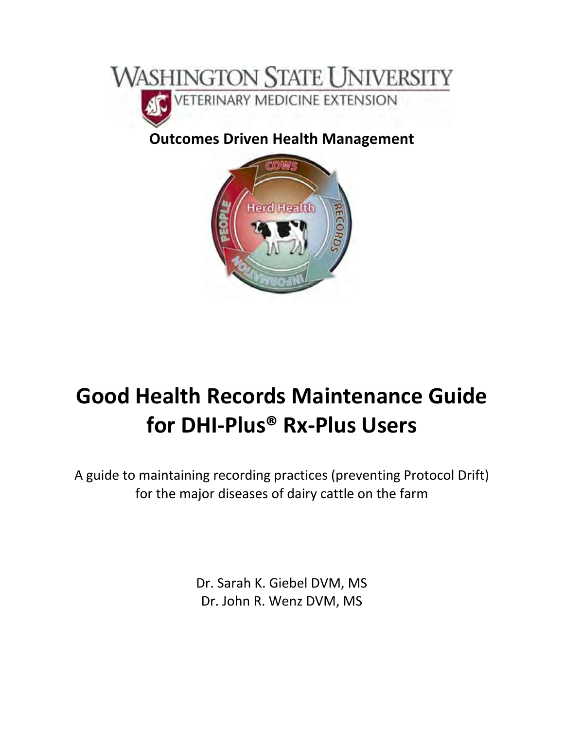

## **Outcomes Driven Health Management**



# **Good Health Records Maintenance Guide for DHI‐Plus® Rx‐Plus Users**

A guide to maintaining recording practices (preventing Protocol Drift) for the major diseases of dairy cattle on the farm

> Dr. Sarah K. Giebel DVM, MS Dr. John R. Wenz DVM, MS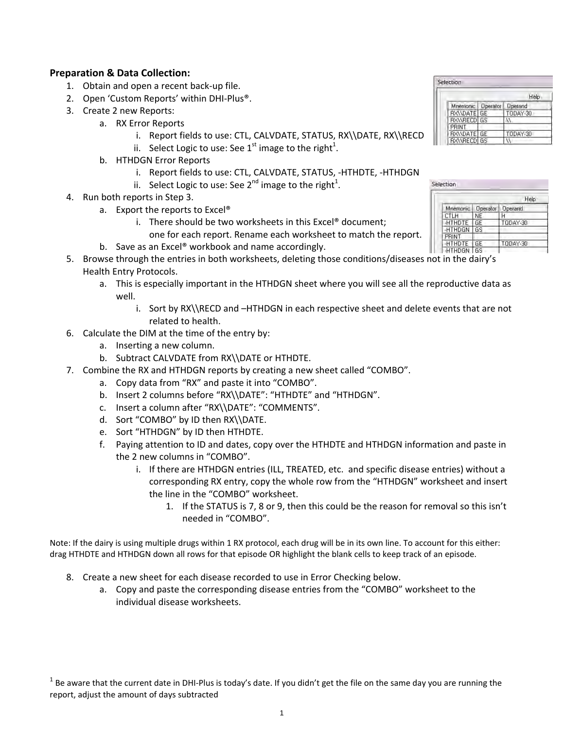#### **Preparation & Data Collection:**

- 1. Obtain and open a recent back‐up file.
- 2. Open 'Custom Reports' within DHI-Plus<sup>®</sup>.
- 3. Create 2 new Reports:
	- a. RX Error Reports
		- i. Report fields to use: CTL, CALVDATE, STATUS, RX\\DATE, RX\\RECD
		- ii. Select Logic to use: See 1<sup>st</sup> image to the right<sup>1</sup>.
	- b. HTHDGN Error Reports
		- i. Report fields to use: CTL, CALVDATE, STATUS, ‐HTHDTE, ‐HTHDGN
		- ii. Select Logic to use: See 2<sup>nd</sup> image to the right<sup>1</sup>.
- 4. Run both reports in Step 3.
	- a. Export the reports to Excel®
		- i. There should be two worksheets in this Excel® document; one for each report. Rename each worksheet to match the report.
	- b. Save as an Excel® workbook and name accordingly.
- 5. Browse through the entries in both worksheets, deleting those conditions/diseases not in the dairy's Health Entry Protocols.
	- a. This is especially important in the HTHDGN sheet where you will see all the reproductive data as well.
		- i. Sort by RX\\RECD and -HTHDGN in each respective sheet and delete events that are not related to health.
- 6. Calculate the DIM at the time of the entry by:
	- a. Inserting a new column.
	- b. Subtract CALVDATE from RX\\DATE or HTHDTE.
- 7. Combine the RX and HTHDGN reports by creating a new sheet called "COMBO".
	- a. Copy data from "RX" and paste it into "COMBO".
	- b. Insert 2 columns before "RX\\DATE": "HTHDTE" and "HTHDGN".
	- c. Insert a column after "RX\\DATE": "COMMENTS".
	- d. Sort "COMBO" by ID then RX\\DATE.
	- e. Sort "HTHDGN" by ID then HTHDTE.
	- f. Paying attention to ID and dates, copy over the HTHDTE and HTHDGN information and paste in the 2 new columns in "COMBO".
		- i. If there are HTHDGN entries (ILL, TREATED, etc. and specific disease entries) without a corresponding RX entry, copy the whole row from the "HTHDGN" worksheet and insert the line in the "COMBO" worksheet.
			- 1. If the STATUS is 7, 8 or 9, then this could be the reason for removal so this isn't needed in "COMBO".

Note: If the dairy is using multiple drugs within 1 RX protocol, each drug will be in its own line. To account for this either: drag HTHDTE and HTHDGN down all rows for that episode OR highlight the blank cells to keep track of an episode.

- 8. Create a new sheet for each disease recorded to use in Error Checking below.
	- a. Copy and paste the corresponding disease entries from the "COMBO" worksheet to the individual disease worksheets.

| Selection         |  |                |  |  |
|-------------------|--|----------------|--|--|
|                   |  | Help           |  |  |
| Mnemonic Dperator |  | <b>Operand</b> |  |  |
| RX\\DATE GE       |  | T0DAY-30       |  |  |
| <b>RXWRECD GS</b> |  |                |  |  |
| PRINT             |  |                |  |  |
| RXNDATE GE        |  | TODAY-30       |  |  |
| BX\\RECD GS       |  |                |  |  |

|               |                 | Help           |  |  |
|---------------|-----------------|----------------|--|--|
| Mnemonic:     | <b>Operator</b> | <b>Operand</b> |  |  |
| CTLH          | NE              |                |  |  |
| <b>HTHDTE</b> | GE              | T0DAY-30       |  |  |
| <b>HTHDGN</b> | GS              |                |  |  |
|               |                 |                |  |  |
| <b>HTHDTE</b> | GЕ              | T00AY-30       |  |  |
| <b>HTHDGN</b> | Κ¢              |                |  |  |

 $1$  Be aware that the current date in DHI-Plus is today's date. If you didn't get the file on the same day you are running the report, adjust the amount of days subtracted